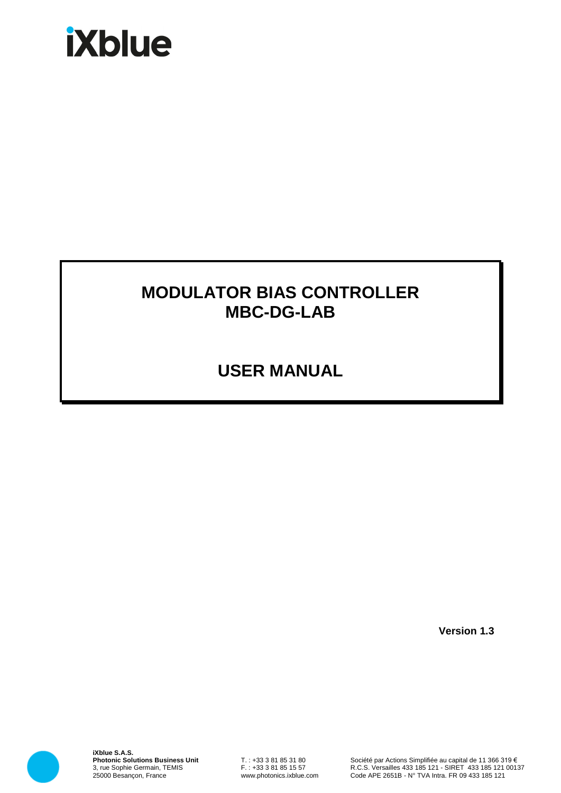# **iXblue**

# **MODULATOR BIAS CONTROLLER MBC-DG-LAB**

# **USER MANUAL**

**Version 1.3**



**iXblue S.A.S. Photonic Solutions Business Unit** 3, rue Sophie Germain, TEMIS 25000 Besançon, France

T. : +33 3 81 85 31 80 F. : +33 3 81 85 15 57 www.photonics.ixblue.com

Société par Actions Simplifiée au capital de 11 366 319 € R.C.S. Versailles 433 185 121 - SIRET 433 185 121 00137 Code APE 2651B - N° TVA Intra. FR 09 433 185 121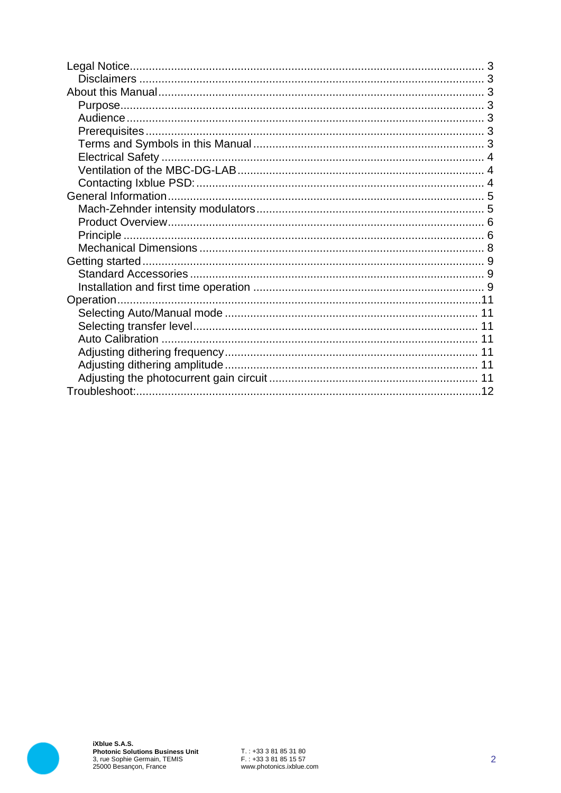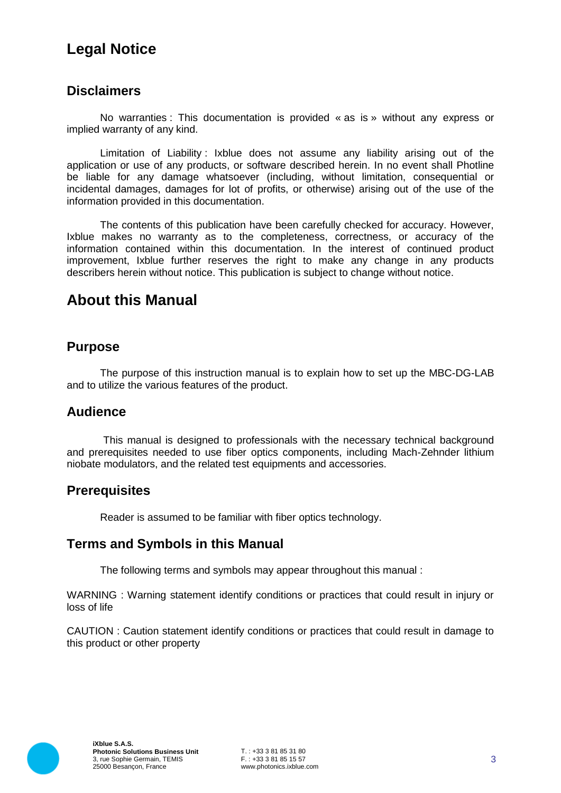# **Legal Notice**

#### **Disclaimers**

No warranties : This documentation is provided « as is » without any express or implied warranty of any kind.

Limitation of Liability : Ixblue does not assume any liability arising out of the application or use of any products, or software described herein. In no event shall Photline be liable for any damage whatsoever (including, without limitation, consequential or incidental damages, damages for lot of profits, or otherwise) arising out of the use of the information provided in this documentation.

The contents of this publication have been carefully checked for accuracy. However, Ixblue makes no warranty as to the completeness, correctness, or accuracy of the information contained within this documentation. In the interest of continued product improvement, Ixblue further reserves the right to make any change in any products describers herein without notice. This publication is subject to change without notice.

## **About this Manual**

#### **Purpose**

The purpose of this instruction manual is to explain how to set up the MBC-DG-LAB and to utilize the various features of the product.

#### **Audience**

This manual is designed to professionals with the necessary technical background and prerequisites needed to use fiber optics components, including Mach-Zehnder lithium niobate modulators, and the related test equipments and accessories.

#### **Prerequisites**

Reader is assumed to be familiar with fiber optics technology.

#### **Terms and Symbols in this Manual**

The following terms and symbols may appear throughout this manual :

WARNING : Warning statement identify conditions or practices that could result in injury or loss of life

CAUTION : Caution statement identify conditions or practices that could result in damage to this product or other property

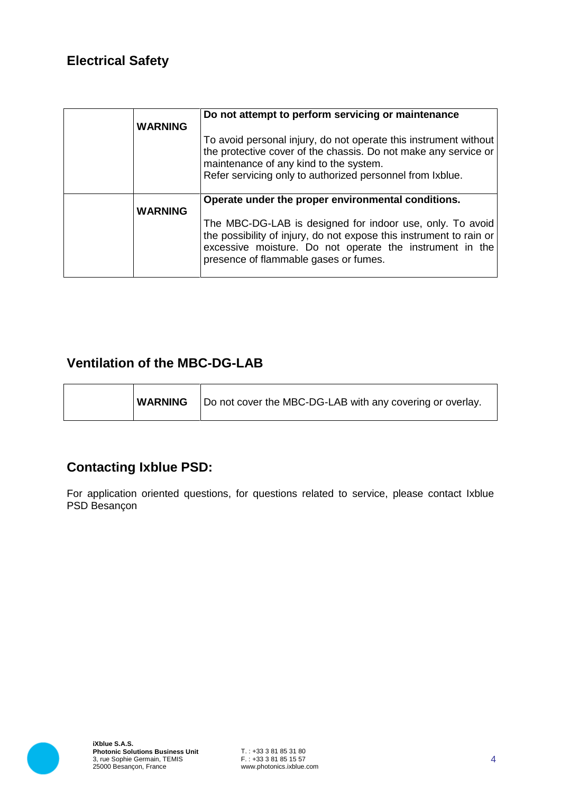## **Electrical Safety**

| <b>WARNING</b> | Do not attempt to perform servicing or maintenance<br>To avoid personal injury, do not operate this instrument without<br>the protective cover of the chassis. Do not make any service or<br>maintenance of any kind to the system.<br>Refer servicing only to authorized personnel from Ixblue. |
|----------------|--------------------------------------------------------------------------------------------------------------------------------------------------------------------------------------------------------------------------------------------------------------------------------------------------|
| <b>WARNING</b> | Operate under the proper environmental conditions.<br>The MBC-DG-LAB is designed for indoor use, only. To avoid<br>the possibility of injury, do not expose this instrument to rain or<br>excessive moisture. Do not operate the instrument in the<br>presence of flammable gases or fumes.      |

## **Ventilation of the MBC-DG-LAB**

| Do not cover the MBC-DG-LAB with any covering or overlay. |
|-----------------------------------------------------------|
|-----------------------------------------------------------|

## **Contacting Ixblue PSD:**

For application oriented questions, for questions related to service, please contact Ixblue PSD Besançon

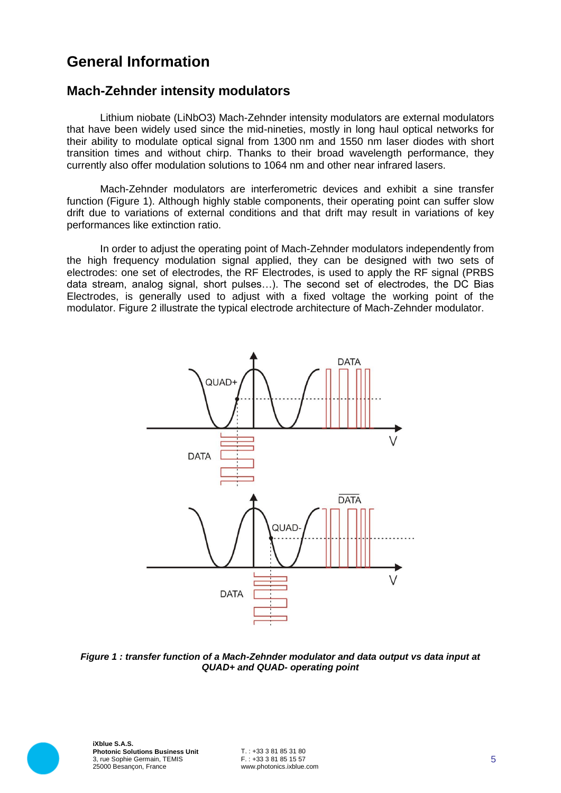## **General Information**

#### **Mach-Zehnder intensity modulators**

Lithium niobate (LiNbO3) Mach-Zehnder intensity modulators are external modulators that have been widely used since the mid-nineties, mostly in long haul optical networks for their ability to modulate optical signal from 1300 nm and 1550 nm laser diodes with short transition times and without chirp. Thanks to their broad wavelength performance, they currently also offer modulation solutions to 1064 nm and other near infrared lasers.

Mach-Zehnder modulators are interferometric devices and exhibit a sine transfer function (Figure 1). Although highly stable components, their operating point can suffer slow drift due to variations of external conditions and that drift may result in variations of key performances like extinction ratio.

In order to adjust the operating point of Mach-Zehnder modulators independently from the high frequency modulation signal applied, they can be designed with two sets of electrodes: one set of electrodes, the RF Electrodes, is used to apply the RF signal (PRBS data stream, analog signal, short pulses…). The second set of electrodes, the DC Bias Electrodes, is generally used to adjust with a fixed voltage the working point of the modulator. Figure 2 illustrate the typical electrode architecture of Mach-Zehnder modulator.



*Figure 1 : transfer function of a Mach-Zehnder modulator and data output vs data input at QUAD+ and QUAD- operating point*

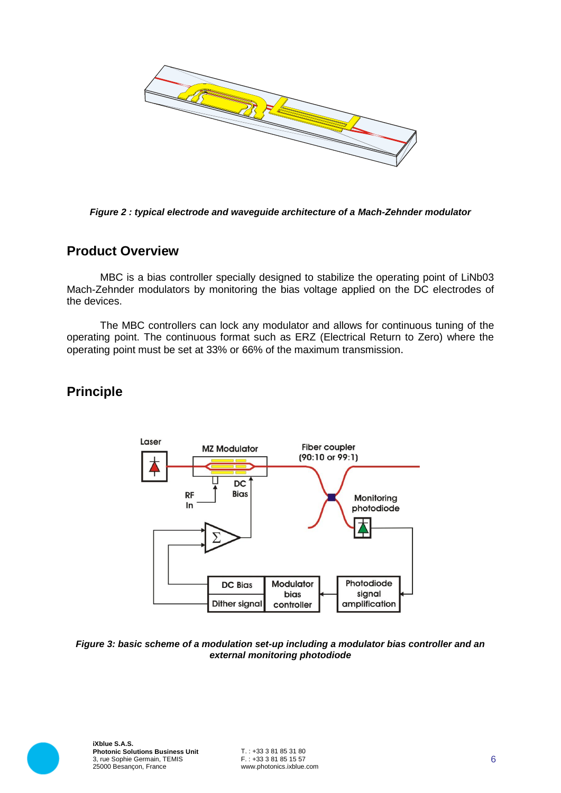

*Figure 2 : typical electrode and waveguide architecture of a Mach-Zehnder modulator*

#### **Product Overview**

MBC is a bias controller specially designed to stabilize the operating point of LiNb03 Mach-Zehnder modulators by monitoring the bias voltage applied on the DC electrodes of the devices.

The MBC controllers can lock any modulator and allows for continuous tuning of the operating point. The continuous format such as ERZ (Electrical Return to Zero) where the operating point must be set at 33% or 66% of the maximum transmission.

## **Principle**



#### *Figure 3: basic scheme of a modulation set-up including a modulator bias controller and an external monitoring photodiode*

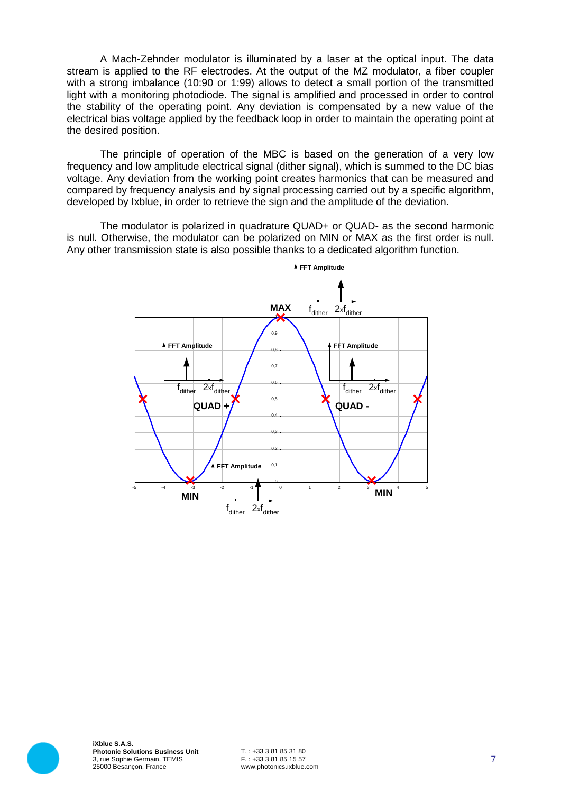A Mach-Zehnder modulator is illuminated by a laser at the optical input. The data stream is applied to the RF electrodes. At the output of the MZ modulator, a fiber coupler with a strong imbalance (10:90 or 1:99) allows to detect a small portion of the transmitted light with a monitoring photodiode. The signal is amplified and processed in order to control the stability of the operating point. Any deviation is compensated by a new value of the electrical bias voltage applied by the feedback loop in order to maintain the operating point at the desired position.

The principle of operation of the MBC is based on the generation of a very low frequency and low amplitude electrical signal (dither signal), which is summed to the DC bias voltage. Any deviation from the working point creates harmonics that can be measured and compared by frequency analysis and by signal processing carried out by a specific algorithm, developed by Ixblue, in order to retrieve the sign and the amplitude of the deviation.

The modulator is polarized in quadrature QUAD+ or QUAD- as the second harmonic is null. Otherwise, the modulator can be polarized on MIN or MAX as the first order is null. Any other transmission state is also possible thanks to a dedicated algorithm function.





**iXblue S.A.S. Photonic Solutions Business Unit** 3, rue Sophie Germain, TEMIS 25000 Besançon, France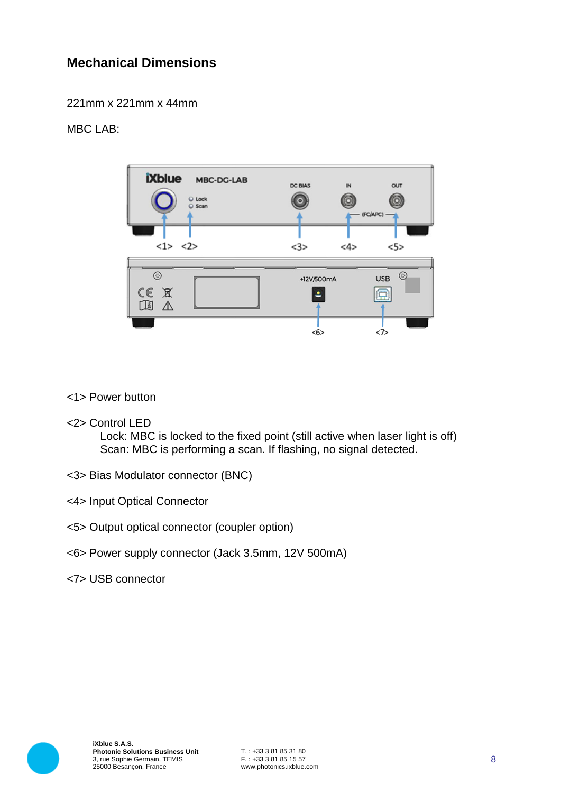## **Mechanical Dimensions**

221mm x 221mm x 44mm

#### MBC LAB:



#### <1> Power button

<2> Control LED

Lock: MBC is locked to the fixed point (still active when laser light is off) Scan: MBC is performing a scan. If flashing, no signal detected.

- <3> Bias Modulator connector (BNC)
- <4> Input Optical Connector
- <5> Output optical connector (coupler option)
- <6> Power supply connector (Jack 3.5mm, 12V 500mA)
- <7> USB connector

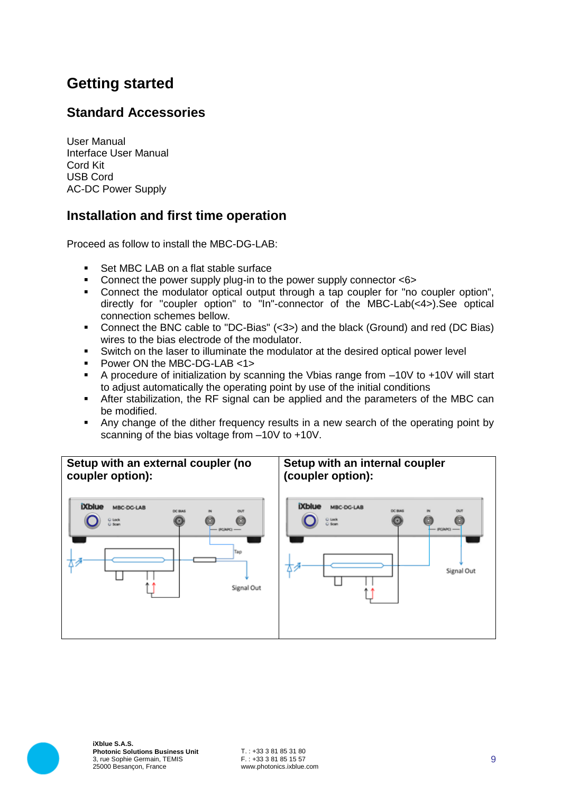# **Getting started**

## **Standard Accessories**

User Manual Interface User Manual Cord Kit USB Cord AC-DC Power Supply

#### **Installation and first time operation**

Proceed as follow to install the MBC-DG-LAB.

- Set MBC LAB on a flat stable surface
- Connect the power supply plug-in to the power supply connector <6>
- Connect the modulator optical output through a tap coupler for "no coupler option", directly for "coupler option" to "In"-connector of the MBC-Lab(<4>).See optical connection schemes bellow.
- Connect the BNC cable to "DC-Bias" (<3>) and the black (Ground) and red (DC Bias) wires to the bias electrode of the modulator.
- Switch on the laser to illuminate the modulator at the desired optical power level
- **Power ON the MBC-DG-LAB <1>**
- A procedure of initialization by scanning the Vbias range from –10V to +10V will start to adjust automatically the operating point by use of the initial conditions
- After stabilization, the RF signal can be applied and the parameters of the MBC can be modified.
- Any change of the dither frequency results in a new search of the operating point by scanning of the bias voltage from –10V to +10V.



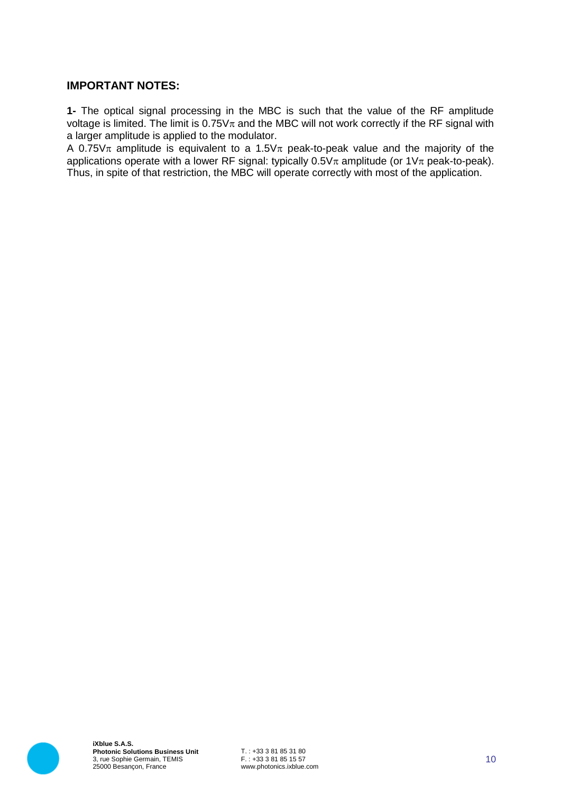#### **IMPORTANT NOTES:**

**1-** The optical signal processing in the MBC is such that the value of the RF amplitude voltage is limited. The limit is  $0.75V\pi$  and the MBC will not work correctly if the RF signal with a larger amplitude is applied to the modulator.

A 0.75V $\pi$  amplitude is equivalent to a 1.5V $\pi$  peak-to-peak value and the majority of the applications operate with a lower RF signal: typically  $0.5V_{\pi}$  amplitude (or  $1V_{\pi}$  peak-to-peak). Thus, in spite of that restriction, the MBC will operate correctly with most of the application.

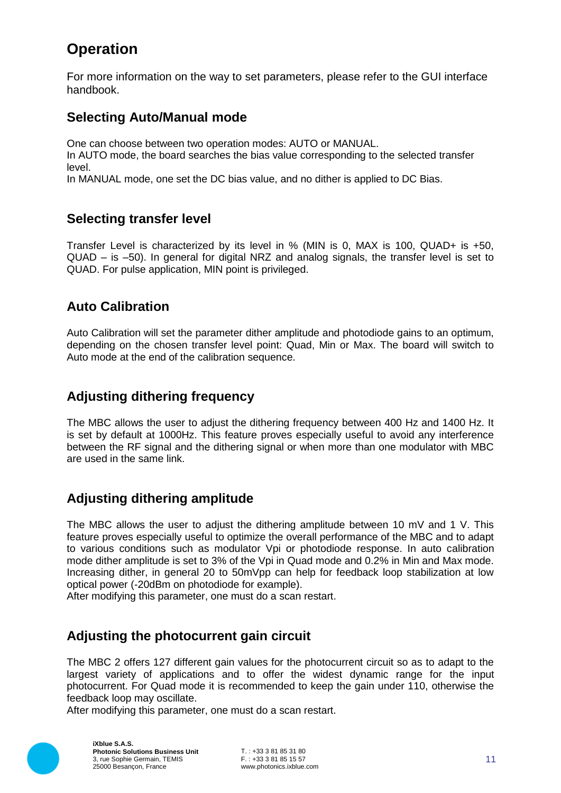# **Operation**

For more information on the way to set parameters, please refer to the GUI interface handbook.

#### **Selecting Auto/Manual mode**

One can choose between two operation modes: AUTO or MANUAL.

In AUTO mode, the board searches the bias value corresponding to the selected transfer level.

In MANUAL mode, one set the DC bias value, and no dither is applied to DC Bias.

#### **Selecting transfer level**

Transfer Level is characterized by its level in % (MIN is 0, MAX is 100, QUAD+ is +50, QUAD – is –50). In general for digital NRZ and analog signals, the transfer level is set to QUAD. For pulse application, MIN point is privileged.

#### **Auto Calibration**

Auto Calibration will set the parameter dither amplitude and photodiode gains to an optimum, depending on the chosen transfer level point: Quad, Min or Max. The board will switch to Auto mode at the end of the calibration sequence.

## **Adjusting dithering frequency**

The MBC allows the user to adjust the dithering frequency between 400 Hz and 1400 Hz. It is set by default at 1000Hz. This feature proves especially useful to avoid any interference between the RF signal and the dithering signal or when more than one modulator with MBC are used in the same link.

## **Adjusting dithering amplitude**

The MBC allows the user to adjust the dithering amplitude between 10 mV and 1 V. This feature proves especially useful to optimize the overall performance of the MBC and to adapt to various conditions such as modulator Vpi or photodiode response. In auto calibration mode dither amplitude is set to 3% of the Vpi in Quad mode and 0.2% in Min and Max mode. Increasing dither, in general 20 to 50mVpp can help for feedback loop stabilization at low optical power (-20dBm on photodiode for example).

After modifying this parameter, one must do a scan restart.

## **Adjusting the photocurrent gain circuit**

The MBC 2 offers 127 different gain values for the photocurrent circuit so as to adapt to the largest variety of applications and to offer the widest dynamic range for the input photocurrent. For Quad mode it is recommended to keep the gain under 110, otherwise the feedback loop may oscillate.

After modifying this parameter, one must do a scan restart.